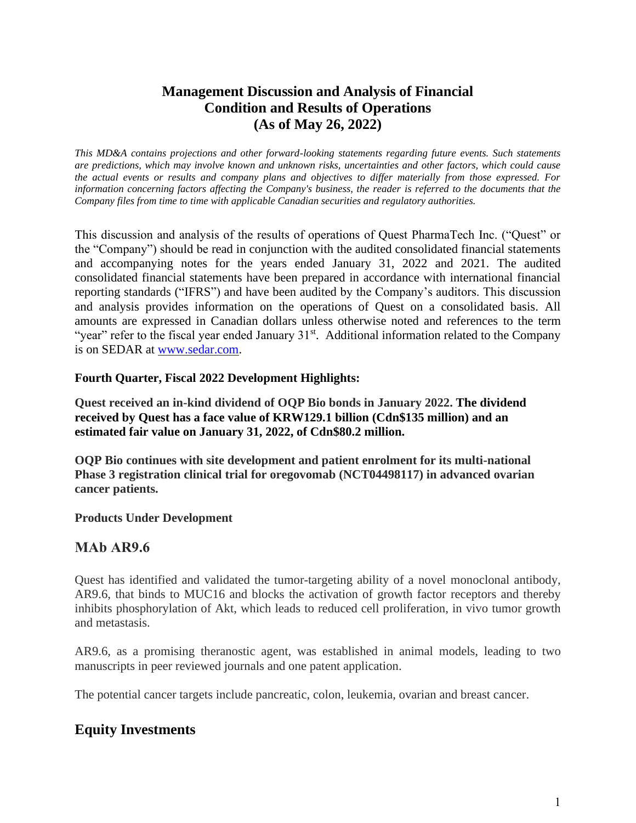# **Management Discussion and Analysis of Financial Condition and Results of Operations (As of May 26, 2022)**

*This MD&A contains projections and other forward-looking statements regarding future events. Such statements are predictions, which may involve known and unknown risks, uncertainties and other factors, which could cause the actual events or results and company plans and objectives to differ materially from those expressed. For information concerning factors affecting the Company's business, the reader is referred to the documents that the Company files from time to time with applicable Canadian securities and regulatory authorities.*

This discussion and analysis of the results of operations of Quest PharmaTech Inc. ("Quest" or the "Company") should be read in conjunction with the audited consolidated financial statements and accompanying notes for the years ended January 31, 2022 and 2021. The audited consolidated financial statements have been prepared in accordance with international financial reporting standards ("IFRS") and have been audited by the Company's auditors. This discussion and analysis provides information on the operations of Quest on a consolidated basis. All amounts are expressed in Canadian dollars unless otherwise noted and references to the term "year" refer to the fiscal year ended January  $31<sup>st</sup>$ . Additional information related to the Company is on SEDAR at [www.sedar.com.](http://www.sedar.com/)

## **Fourth Quarter, Fiscal 2022 Development Highlights:**

**Quest received an in-kind dividend of OQP Bio bonds in January 2022. The dividend received by Quest has a face value of KRW129.1 billion (Cdn\$135 million) and an estimated fair value on January 31, 2022, of Cdn\$80.2 million.**

**OQP Bio continues with site development and patient enrolment for its multi-national Phase 3 registration clinical trial for oregovomab (NCT04498117) in advanced ovarian cancer patients.**

### **Products Under Development**

## **MAb AR9.6**

Quest has identified and validated the tumor-targeting ability of a novel monoclonal antibody, AR9.6, that binds to MUC16 and blocks the activation of growth factor receptors and thereby inhibits phosphorylation of Akt, which leads to reduced cell proliferation, in vivo tumor growth and metastasis.

AR9.6, as a promising theranostic agent, was established in animal models, leading to two manuscripts in peer reviewed journals and one patent application.

The potential cancer targets include pancreatic, colon, leukemia, ovarian and breast cancer.

# **Equity Investments**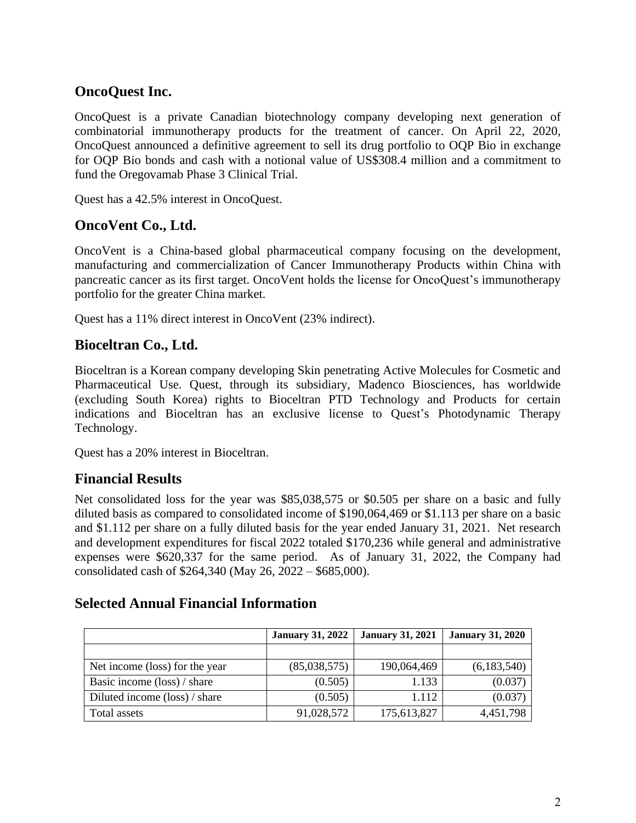# **OncoQuest Inc.**

OncoQuest is a private Canadian biotechnology company developing next generation of combinatorial immunotherapy products for the treatment of cancer. On April 22, 2020, OncoQuest announced a definitive agreement to sell its drug portfolio to OQP Bio in exchange for OQP Bio bonds and cash with a notional value of US\$308.4 million and a commitment to fund the Oregovamab Phase 3 Clinical Trial.

Quest has a 42.5% interest in OncoQuest.

# **OncoVent Co., Ltd.**

OncoVent is a China-based global pharmaceutical company focusing on the development, manufacturing and commercialization of Cancer Immunotherapy Products within China with pancreatic cancer as its first target. OncoVent holds the license for OncoQuest's immunotherapy portfolio for the greater China market.

Quest has a 11% direct interest in OncoVent (23% indirect).

# **Bioceltran Co., Ltd.**

Bioceltran is a Korean company developing Skin penetrating Active Molecules for Cosmetic and Pharmaceutical Use. Quest, through its subsidiary, Madenco Biosciences, has worldwide (excluding South Korea) rights to Bioceltran PTD Technology and Products for certain indications and Bioceltran has an exclusive license to Quest's Photodynamic Therapy Technology.

Quest has a 20% interest in Bioceltran.

# **Financial Results**

Net consolidated loss for the year was \$85,038,575 or \$0.505 per share on a basic and fully diluted basis as compared to consolidated income of \$190,064,469 or \$1.113 per share on a basic and \$1.112 per share on a fully diluted basis for the year ended January 31, 2021. Net research and development expenditures for fiscal 2022 totaled \$170,236 while general and administrative expenses were \$620,337 for the same period. As of January 31, 2022, the Company had consolidated cash of \$264,340 (May 26, 2022 – \$685,000).

## **Selected Annual Financial Information**

|                                | <b>January 31, 2022</b> | <b>January 31, 2021</b> | <b>January 31, 2020</b> |
|--------------------------------|-------------------------|-------------------------|-------------------------|
|                                |                         |                         |                         |
| Net income (loss) for the year | (85,038,575)            | 190,064,469             | (6,183,540)             |
| Basic income (loss) / share    | (0.505)                 | 1.133                   | (0.037)                 |
| Diluted income (loss) / share  | (0.505)                 | 1.112                   | (0.037)                 |
| Total assets                   | 91,028,572              | 175,613,827             | 4,451,798               |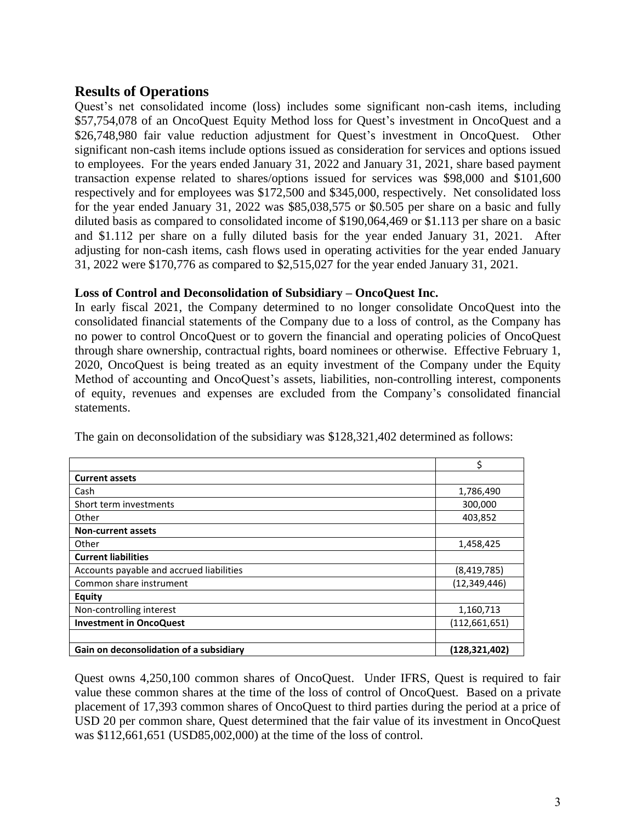# **Results of Operations**

Quest's net consolidated income (loss) includes some significant non-cash items, including \$57,754,078 of an OncoQuest Equity Method loss for Quest's investment in OncoQuest and a \$26,748,980 fair value reduction adjustment for Quest's investment in OncoQuest. Other significant non-cash items include options issued as consideration for services and options issued to employees. For the years ended January 31, 2022 and January 31, 2021, share based payment transaction expense related to shares/options issued for services was \$98,000 and \$101,600 respectively and for employees was \$172,500 and \$345,000, respectively. Net consolidated loss for the year ended January 31, 2022 was \$85,038,575 or \$0.505 per share on a basic and fully diluted basis as compared to consolidated income of \$190,064,469 or \$1.113 per share on a basic and \$1.112 per share on a fully diluted basis for the year ended January 31, 2021. After adjusting for non-cash items, cash flows used in operating activities for the year ended January 31, 2022 were \$170,776 as compared to \$2,515,027 for the year ended January 31, 2021.

### **Loss of Control and Deconsolidation of Subsidiary – OncoQuest Inc.**

In early fiscal 2021, the Company determined to no longer consolidate OncoQuest into the consolidated financial statements of the Company due to a loss of control, as the Company has no power to control OncoQuest or to govern the financial and operating policies of OncoQuest through share ownership, contractual rights, board nominees or otherwise. Effective February 1, 2020, OncoQuest is being treated as an equity investment of the Company under the Equity Method of accounting and OncoQuest's assets, liabilities, non-controlling interest, components of equity, revenues and expenses are excluded from the Company's consolidated financial statements.

|                                          | \$              |
|------------------------------------------|-----------------|
| <b>Current assets</b>                    |                 |
| Cash                                     | 1,786,490       |
| Short term investments                   | 300,000         |
| Other                                    | 403,852         |
| <b>Non-current assets</b>                |                 |
| Other                                    | 1,458,425       |
| <b>Current liabilities</b>               |                 |
| Accounts payable and accrued liabilities | (8,419,785)     |
| Common share instrument                  | (12, 349, 446)  |
| Equity                                   |                 |
| Non-controlling interest                 | 1,160,713       |
| <b>Investment in OncoQuest</b>           | (112, 661, 651) |
|                                          |                 |
| Gain on deconsolidation of a subsidiary  | (128,321,402)   |

The gain on deconsolidation of the subsidiary was \$128,321,402 determined as follows:

Quest owns 4,250,100 common shares of OncoQuest. Under IFRS, Quest is required to fair value these common shares at the time of the loss of control of OncoQuest. Based on a private placement of 17,393 common shares of OncoQuest to third parties during the period at a price of USD 20 per common share, Quest determined that the fair value of its investment in OncoQuest was \$112,661,651 (USD85,002,000) at the time of the loss of control.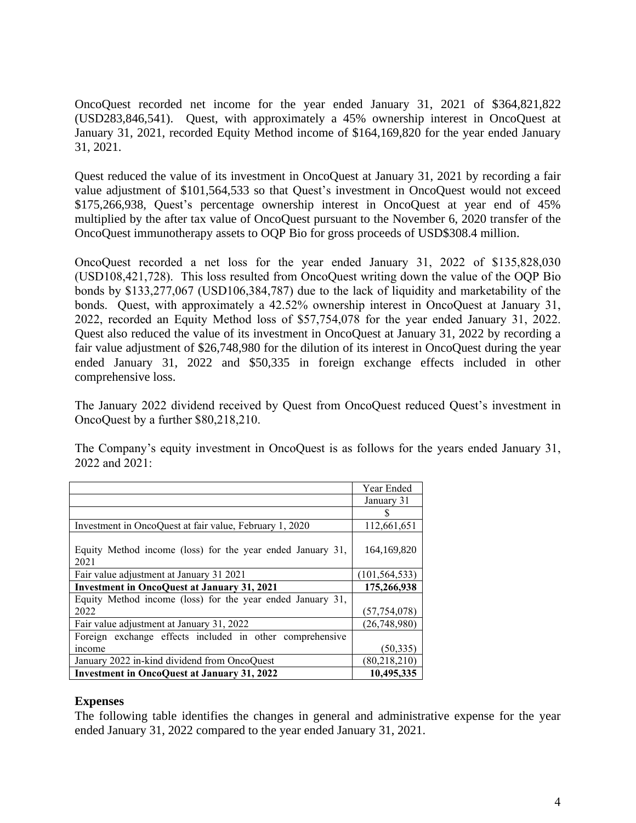OncoQuest recorded net income for the year ended January 31, 2021 of \$364,821,822 (USD283,846,541). Quest, with approximately a 45% ownership interest in OncoQuest at January 31, 2021, recorded Equity Method income of \$164,169,820 for the year ended January 31, 2021.

Quest reduced the value of its investment in OncoQuest at January 31, 2021 by recording a fair value adjustment of \$101,564,533 so that Quest's investment in OncoQuest would not exceed \$175,266,938, Quest's percentage ownership interest in OncoQuest at year end of 45% multiplied by the after tax value of OncoQuest pursuant to the November 6, 2020 transfer of the OncoQuest immunotherapy assets to OQP Bio for gross proceeds of USD\$308.4 million.

OncoQuest recorded a net loss for the year ended January 31, 2022 of \$135,828,030 (USD108,421,728). This loss resulted from OncoQuest writing down the value of the OQP Bio bonds by \$133,277,067 (USD106,384,787) due to the lack of liquidity and marketability of the bonds. Quest, with approximately a 42.52% ownership interest in OncoQuest at January 31, 2022, recorded an Equity Method loss of \$57,754,078 for the year ended January 31, 2022. Quest also reduced the value of its investment in OncoQuest at January 31, 2022 by recording a fair value adjustment of \$26,748,980 for the dilution of its interest in OncoQuest during the year ended January 31, 2022 and \$50,335 in foreign exchange effects included in other comprehensive loss.

The January 2022 dividend received by Quest from OncoQuest reduced Quest's investment in OncoQuest by a further \$80,218,210.

The Company's equity investment in OncoQuest is as follows for the years ended January 31, 2022 and 2021:

|                                                                    | Year Ended      |
|--------------------------------------------------------------------|-----------------|
|                                                                    | January 31      |
|                                                                    | S               |
| Investment in OncoQuest at fair value, February 1, 2020            | 112,661,651     |
| Equity Method income (loss) for the year ended January 31,<br>2021 | 164, 169, 820   |
| Fair value adjustment at January 31 2021                           | (101, 564, 533) |
| <b>Investment in OncoQuest at January 31, 2021</b>                 | 175,266,938     |
| Equity Method income (loss) for the year ended January 31,         |                 |
| 2022                                                               | (57,754,078)    |
| Fair value adjustment at January 31, 2022                          | (26,748,980)    |
| Foreign exchange effects included in other comprehensive           |                 |
| <i>ncome</i>                                                       | (50, 335)       |
| January 2022 in-kind dividend from OncoQuest                       | (80, 218, 210)  |
| <b>Investment in OncoQuest at January 31, 2022</b>                 | 10,495,335      |

## **Expenses**

The following table identifies the changes in general and administrative expense for the year ended January 31, 2022 compared to the year ended January 31, 2021.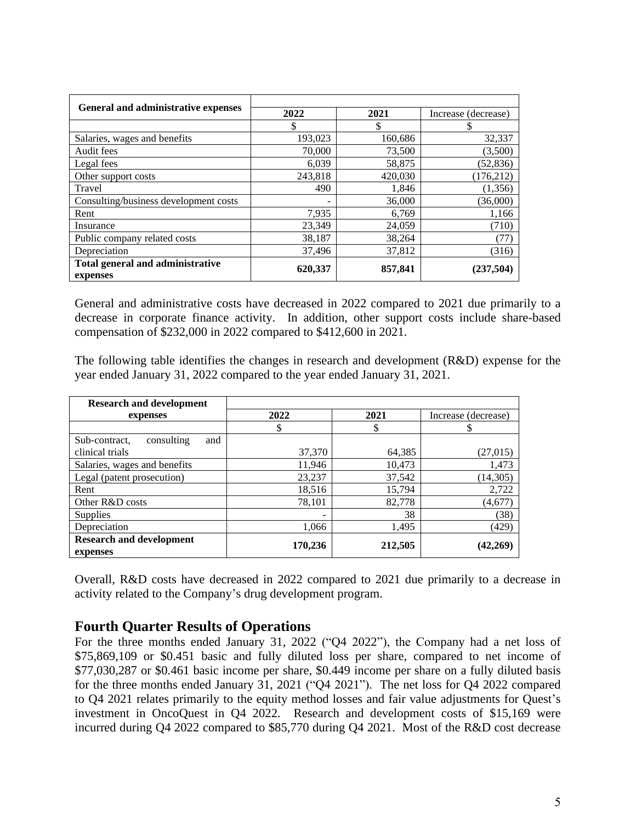| General and administrative expenses          | 2022<br>2021 |         | Increase (decrease) |  |
|----------------------------------------------|--------------|---------|---------------------|--|
|                                              | \$           | S       | S                   |  |
| Salaries, wages and benefits                 | 193,023      | 160,686 | 32,337              |  |
| Audit fees                                   | 70,000       | 73,500  | (3,500)             |  |
| Legal fees                                   | 6,039        | 58,875  | (52, 836)           |  |
| Other support costs                          | 243,818      | 420,030 | (176, 212)          |  |
| Travel                                       | 490          | 1,846   | (1,356)             |  |
| Consulting/business development costs        |              | 36,000  | (36,000)            |  |
| Rent                                         | 7,935        | 6,769   | 1,166               |  |
| Insurance                                    | 23.349       | 24,059  | (710)               |  |
| Public company related costs                 | 38,187       | 38,264  | (77)                |  |
| Depreciation                                 | 37,496       | 37,812  | (316)               |  |
| Total general and administrative<br>expenses | 620,337      | 857,841 | (237,504)           |  |

General and administrative costs have decreased in 2022 compared to 2021 due primarily to a decrease in corporate finance activity. In addition, other support costs include share-based compensation of \$232,000 in 2022 compared to \$412,600 in 2021.

The following table identifies the changes in research and development (R&D) expense for the year ended January 31, 2022 compared to the year ended January 31, 2021.

| <b>Research and development</b>    |         |         |                     |
|------------------------------------|---------|---------|---------------------|
| expenses                           | 2022    | 2021    | Increase (decrease) |
|                                    | \$      | Φ       |                     |
| and<br>consulting<br>Sub-contract. |         |         |                     |
| clinical trials                    | 37,370  | 64,385  | (27, 015)           |
| Salaries, wages and benefits       | 11,946  | 10,473  | 1,473               |
| Legal (patent prosecution)         | 23,237  | 37,542  | (14,305)            |
| Rent                               | 18,516  | 15,794  | 2,722               |
| Other R&D costs                    | 78,101  | 82,778  | (4,677)             |
| <b>Supplies</b>                    | -       | 38      | (38)                |
| Depreciation                       | 1,066   | 1,495   | (429)               |
| <b>Research and development</b>    |         |         |                     |
| expenses                           | 170,236 | 212,505 | (42,269)            |

Overall, R&D costs have decreased in 2022 compared to 2021 due primarily to a decrease in activity related to the Company's drug development program.

## **Fourth Quarter Results of Operations**

For the three months ended January 31, 2022 ("Q4 2022"), the Company had a net loss of \$75,869,109 or \$0.451 basic and fully diluted loss per share, compared to net income of \$77,030,287 or \$0.461 basic income per share, \$0.449 income per share on a fully diluted basis for the three months ended January 31, 2021 ("Q4 2021"). The net loss for Q4 2022 compared to Q4 2021 relates primarily to the equity method losses and fair value adjustments for Quest's investment in OncoQuest in Q4 2022. Research and development costs of \$15,169 were incurred during Q4 2022 compared to \$85,770 during Q4 2021. Most of the R&D cost decrease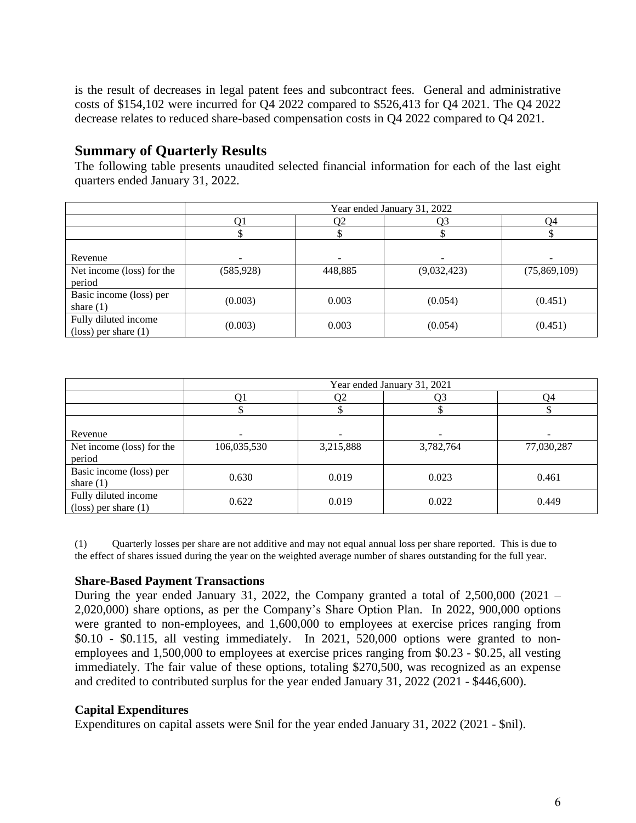is the result of decreases in legal patent fees and subcontract fees. General and administrative costs of \$154,102 were incurred for Q4 2022 compared to \$526,413 for Q4 2021. The Q4 2022 decrease relates to reduced share-based compensation costs in Q4 2022 compared to Q4 2021.

# **Summary of Quarterly Results**

The following table presents unaudited selected financial information for each of the last eight quarters ended January 31, 2022.

|                                 | Year ended January 31, 2022 |                          |             |              |
|---------------------------------|-----------------------------|--------------------------|-------------|--------------|
|                                 | Q1                          | Q4                       |             |              |
|                                 |                             |                          |             |              |
|                                 |                             |                          |             |              |
| Revenue                         | -                           | $\overline{\phantom{a}}$ |             |              |
| Net income (loss) for the       | (585, 928)                  | 448,885                  | (9,032,423) | (75,869,109) |
| period                          |                             |                          |             |              |
| Basic income (loss) per         | (0.003)                     | 0.003                    | (0.054)     | (0.451)      |
| share $(1)$                     |                             |                          |             |              |
| Fully diluted income            |                             | 0.003                    | (0.054)     | (0.451)      |
| $(\text{loss})$ per share $(1)$ | (0.003)                     |                          |             |              |

|                                 | Year ended January 31, 2021 |                          |                          |            |  |
|---------------------------------|-----------------------------|--------------------------|--------------------------|------------|--|
|                                 |                             | Ο2                       |                          |            |  |
|                                 |                             |                          |                          |            |  |
|                                 |                             |                          |                          |            |  |
| Revenue                         | $\overline{\phantom{a}}$    | $\overline{\phantom{a}}$ | $\overline{\phantom{a}}$ |            |  |
| Net income (loss) for the       | 106,035,530                 | 3,215,888                | 3,782,764                | 77,030,287 |  |
| period                          |                             |                          |                          |            |  |
| Basic income (loss) per         | 0.630                       | 0.019                    | 0.023                    | 0.461      |  |
| share $(1)$                     |                             |                          |                          |            |  |
| Fully diluted income            | 0.622                       | 0.019                    | 0.022                    | 0.449      |  |
| $(\text{loss})$ per share $(1)$ |                             |                          |                          |            |  |

(1) Quarterly losses per share are not additive and may not equal annual loss per share reported. This is due to the effect of shares issued during the year on the weighted average number of shares outstanding for the full year.

## **Share-Based Payment Transactions**

During the year ended January 31, 2022, the Company granted a total of  $2,500,000$  (2021 – 2,020,000) share options, as per the Company's Share Option Plan. In 2022, 900,000 options were granted to non-employees, and 1,600,000 to employees at exercise prices ranging from \$0.10 - \$0.115, all vesting immediately. In 2021, 520,000 options were granted to nonemployees and 1,500,000 to employees at exercise prices ranging from \$0.23 - \$0.25, all vesting immediately. The fair value of these options, totaling \$270,500, was recognized as an expense and credited to contributed surplus for the year ended January 31, 2022 (2021 - \$446,600).

## **Capital Expenditures**

Expenditures on capital assets were \$nil for the year ended January 31, 2022 (2021 - \$nil).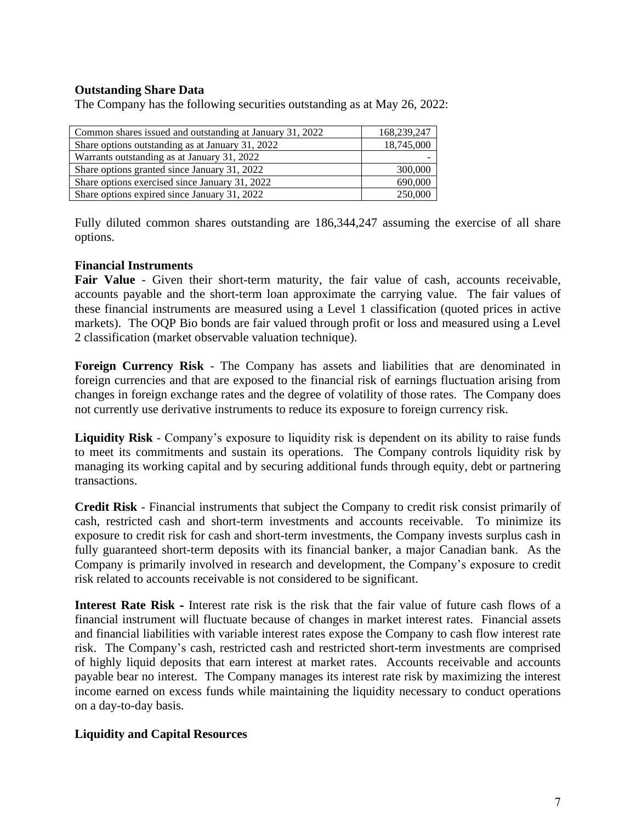## **Outstanding Share Data**

The Company has the following securities outstanding as at May 26, 2022:

| Common shares issued and outstanding at January 31, 2022 | 168,239,247 |
|----------------------------------------------------------|-------------|
| Share options outstanding as at January 31, 2022         | 18,745,000  |
| Warrants outstanding as at January 31, 2022              |             |
| Share options granted since January 31, 2022             | 300,000     |
| Share options exercised since January 31, 2022           | 690,000     |
| Share options expired since January 31, 2022             | 250,000     |

Fully diluted common shares outstanding are 186,344,247 assuming the exercise of all share options.

### **Financial Instruments**

Fair Value - Given their short-term maturity, the fair value of cash, accounts receivable, accounts payable and the short-term loan approximate the carrying value. The fair values of these financial instruments are measured using a Level 1 classification (quoted prices in active markets). The OQP Bio bonds are fair valued through profit or loss and measured using a Level 2 classification (market observable valuation technique).

**Foreign Currency Risk** - The Company has assets and liabilities that are denominated in foreign currencies and that are exposed to the financial risk of earnings fluctuation arising from changes in foreign exchange rates and the degree of volatility of those rates. The Company does not currently use derivative instruments to reduce its exposure to foreign currency risk.

**Liquidity Risk** - Company's exposure to liquidity risk is dependent on its ability to raise funds to meet its commitments and sustain its operations. The Company controls liquidity risk by managing its working capital and by securing additional funds through equity, debt or partnering transactions.

**Credit Risk** - Financial instruments that subject the Company to credit risk consist primarily of cash, restricted cash and short-term investments and accounts receivable. To minimize its exposure to credit risk for cash and short-term investments, the Company invests surplus cash in fully guaranteed short-term deposits with its financial banker, a major Canadian bank. As the Company is primarily involved in research and development, the Company's exposure to credit risk related to accounts receivable is not considered to be significant.

**Interest Rate Risk -** Interest rate risk is the risk that the fair value of future cash flows of a financial instrument will fluctuate because of changes in market interest rates. Financial assets and financial liabilities with variable interest rates expose the Company to cash flow interest rate risk. The Company's cash, restricted cash and restricted short-term investments are comprised of highly liquid deposits that earn interest at market rates. Accounts receivable and accounts payable bear no interest. The Company manages its interest rate risk by maximizing the interest income earned on excess funds while maintaining the liquidity necessary to conduct operations on a day-to-day basis.

### **Liquidity and Capital Resources**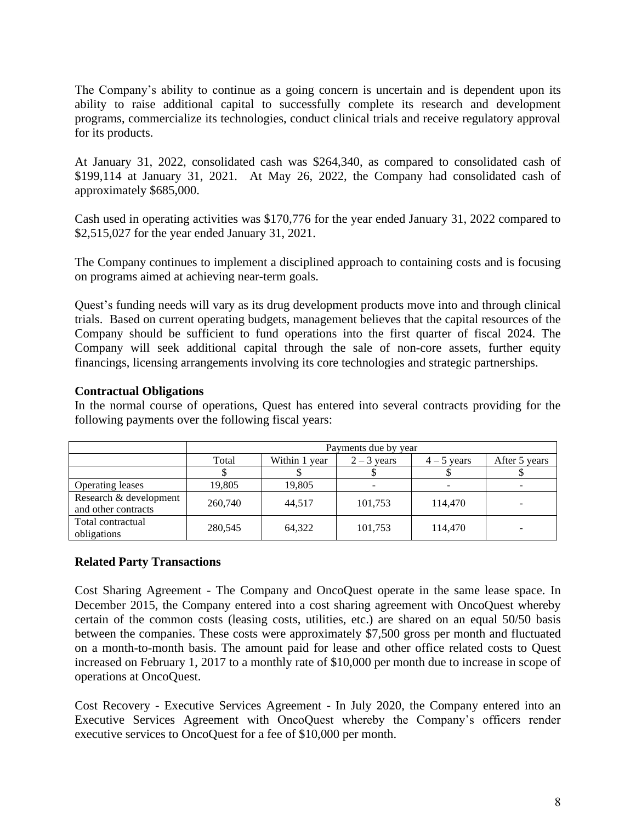The Company's ability to continue as a going concern is uncertain and is dependent upon its ability to raise additional capital to successfully complete its research and development programs, commercialize its technologies, conduct clinical trials and receive regulatory approval for its products.

At January 31, 2022, consolidated cash was \$264,340, as compared to consolidated cash of \$199,114 at January 31, 2021. At May 26, 2022, the Company had consolidated cash of approximately \$685,000.

Cash used in operating activities was \$170,776 for the year ended January 31, 2022 compared to \$2,515,027 for the year ended January 31, 2021.

The Company continues to implement a disciplined approach to containing costs and is focusing on programs aimed at achieving near-term goals.

Quest's funding needs will vary as its drug development products move into and through clinical trials. Based on current operating budgets, management believes that the capital resources of the Company should be sufficient to fund operations into the first quarter of fiscal 2024. The Company will seek additional capital through the sale of non-core assets, further equity financings, licensing arrangements involving its core technologies and strategic partnerships.

## **Contractual Obligations**

In the normal course of operations, Quest has entered into several contracts providing for the following payments over the following fiscal years:

|                                               | Payments due by year |               |         |         |   |
|-----------------------------------------------|----------------------|---------------|---------|---------|---|
|                                               | Total                | After 5 years |         |         |   |
|                                               |                      |               |         |         |   |
| Operating leases                              | 19,805               | 19,805        |         |         |   |
| Research & development<br>and other contracts | 260,740              | 44.517        | 101,753 | 114,470 | - |
| Total contractual<br>obligations              | 280,545              | 64,322        | 101,753 | 114,470 | - |

## **Related Party Transactions**

Cost Sharing Agreement - The Company and OncoQuest operate in the same lease space. In December 2015, the Company entered into a cost sharing agreement with OncoQuest whereby certain of the common costs (leasing costs, utilities, etc.) are shared on an equal 50/50 basis between the companies. These costs were approximately \$7,500 gross per month and fluctuated on a month-to-month basis. The amount paid for lease and other office related costs to Quest increased on February 1, 2017 to a monthly rate of \$10,000 per month due to increase in scope of operations at OncoQuest.

Cost Recovery - Executive Services Agreement - In July 2020, the Company entered into an Executive Services Agreement with OncoQuest whereby the Company's officers render executive services to OncoQuest for a fee of \$10,000 per month.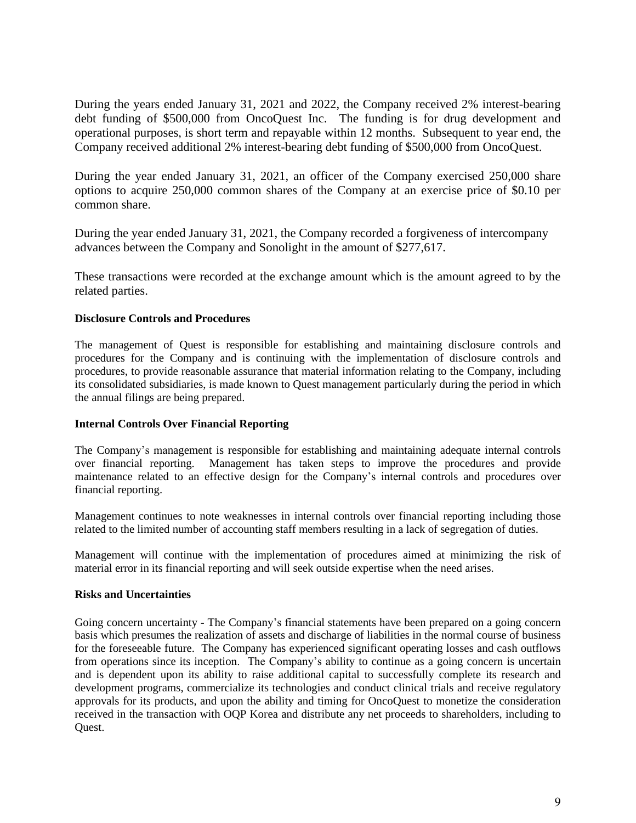During the years ended January 31, 2021 and 2022, the Company received 2% interest-bearing debt funding of \$500,000 from OncoQuest Inc. The funding is for drug development and operational purposes, is short term and repayable within 12 months. Subsequent to year end, the Company received additional 2% interest-bearing debt funding of \$500,000 from OncoQuest.

During the year ended January 31, 2021, an officer of the Company exercised 250,000 share options to acquire 250,000 common shares of the Company at an exercise price of \$0.10 per common share.

During the year ended January 31, 2021, the Company recorded a forgiveness of intercompany advances between the Company and Sonolight in the amount of \$277,617.

These transactions were recorded at the exchange amount which is the amount agreed to by the related parties.

#### **Disclosure Controls and Procedures**

The management of Quest is responsible for establishing and maintaining disclosure controls and procedures for the Company and is continuing with the implementation of disclosure controls and procedures, to provide reasonable assurance that material information relating to the Company, including its consolidated subsidiaries, is made known to Quest management particularly during the period in which the annual filings are being prepared.

#### **Internal Controls Over Financial Reporting**

The Company's management is responsible for establishing and maintaining adequate internal controls over financial reporting. Management has taken steps to improve the procedures and provide maintenance related to an effective design for the Company's internal controls and procedures over financial reporting.

Management continues to note weaknesses in internal controls over financial reporting including those related to the limited number of accounting staff members resulting in a lack of segregation of duties.

Management will continue with the implementation of procedures aimed at minimizing the risk of material error in its financial reporting and will seek outside expertise when the need arises.

#### **Risks and Uncertainties**

Going concern uncertainty - The Company's financial statements have been prepared on a going concern basis which presumes the realization of assets and discharge of liabilities in the normal course of business for the foreseeable future. The Company has experienced significant operating losses and cash outflows from operations since its inception. The Company's ability to continue as a going concern is uncertain and is dependent upon its ability to raise additional capital to successfully complete its research and development programs, commercialize its technologies and conduct clinical trials and receive regulatory approvals for its products, and upon the ability and timing for OncoQuest to monetize the consideration received in the transaction with OQP Korea and distribute any net proceeds to shareholders, including to Quest.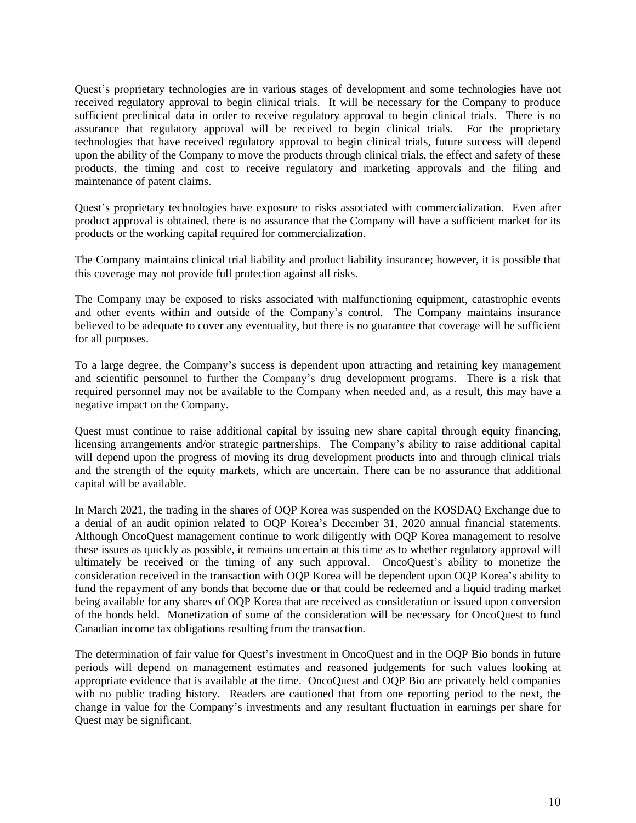Quest's proprietary technologies are in various stages of development and some technologies have not received regulatory approval to begin clinical trials. It will be necessary for the Company to produce sufficient preclinical data in order to receive regulatory approval to begin clinical trials. There is no assurance that regulatory approval will be received to begin clinical trials. For the proprietary technologies that have received regulatory approval to begin clinical trials, future success will depend upon the ability of the Company to move the products through clinical trials, the effect and safety of these products, the timing and cost to receive regulatory and marketing approvals and the filing and maintenance of patent claims.

Quest's proprietary technologies have exposure to risks associated with commercialization. Even after product approval is obtained, there is no assurance that the Company will have a sufficient market for its products or the working capital required for commercialization.

The Company maintains clinical trial liability and product liability insurance; however, it is possible that this coverage may not provide full protection against all risks.

The Company may be exposed to risks associated with malfunctioning equipment, catastrophic events and other events within and outside of the Company's control. The Company maintains insurance believed to be adequate to cover any eventuality, but there is no guarantee that coverage will be sufficient for all purposes.

To a large degree, the Company's success is dependent upon attracting and retaining key management and scientific personnel to further the Company's drug development programs. There is a risk that required personnel may not be available to the Company when needed and, as a result, this may have a negative impact on the Company.

Quest must continue to raise additional capital by issuing new share capital through equity financing, licensing arrangements and/or strategic partnerships. The Company's ability to raise additional capital will depend upon the progress of moving its drug development products into and through clinical trials and the strength of the equity markets, which are uncertain. There can be no assurance that additional capital will be available.

In March 2021, the trading in the shares of OQP Korea was suspended on the KOSDAQ Exchange due to a denial of an audit opinion related to OQP Korea's December 31, 2020 annual financial statements. Although OncoQuest management continue to work diligently with OQP Korea management to resolve these issues as quickly as possible, it remains uncertain at this time as to whether regulatory approval will ultimately be received or the timing of any such approval. OncoQuest's ability to monetize the consideration received in the transaction with OQP Korea will be dependent upon OQP Korea's ability to fund the repayment of any bonds that become due or that could be redeemed and a liquid trading market being available for any shares of OQP Korea that are received as consideration or issued upon conversion of the bonds held. Monetization of some of the consideration will be necessary for OncoQuest to fund Canadian income tax obligations resulting from the transaction.

The determination of fair value for Quest's investment in OncoQuest and in the OQP Bio bonds in future periods will depend on management estimates and reasoned judgements for such values looking at appropriate evidence that is available at the time. OncoQuest and OQP Bio are privately held companies with no public trading history. Readers are cautioned that from one reporting period to the next, the change in value for the Company's investments and any resultant fluctuation in earnings per share for Quest may be significant.